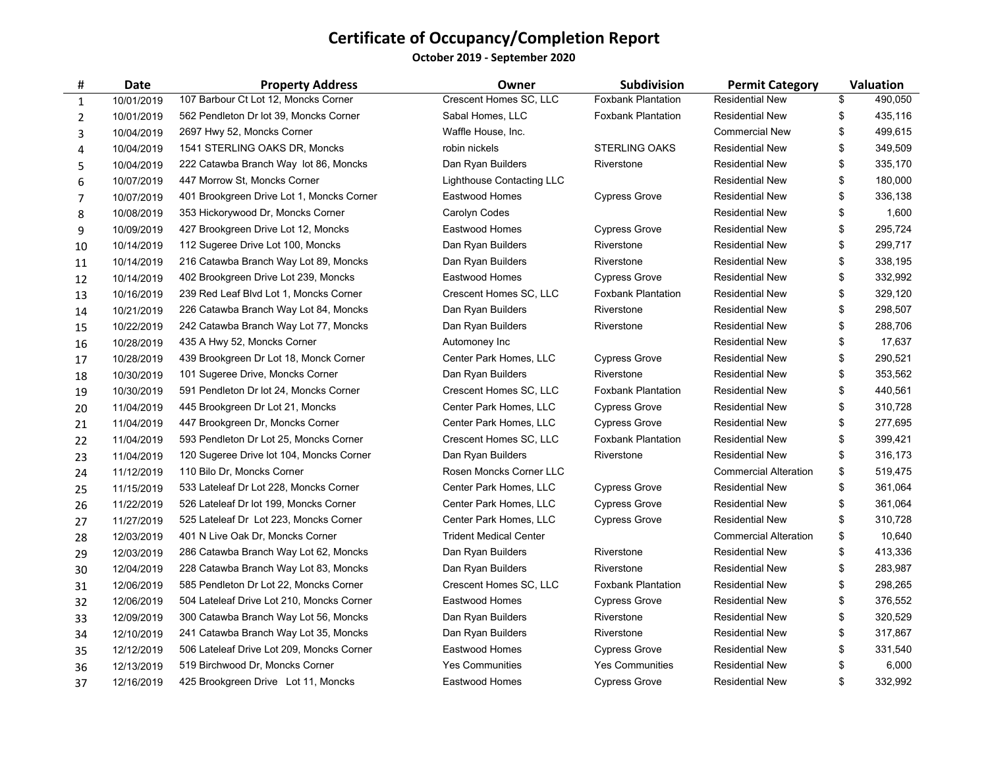**October 2019 ‐ September 2020**

| #              | Date       | <b>Property Address</b>                   | Owner                         | Subdivision               | <b>Permit Category</b>       | Valuation     |
|----------------|------------|-------------------------------------------|-------------------------------|---------------------------|------------------------------|---------------|
| 1              | 10/01/2019 | 107 Barbour Ct Lot 12, Moncks Corner      | Crescent Homes SC, LLC        | <b>Foxbank Plantation</b> | <b>Residential New</b>       | \$<br>490.050 |
| $\overline{2}$ | 10/01/2019 | 562 Pendleton Dr lot 39, Moncks Corner    | Sabal Homes, LLC              | <b>Foxbank Plantation</b> | <b>Residential New</b>       | \$<br>435,116 |
| 3              | 10/04/2019 | 2697 Hwy 52, Moncks Corner                | Waffle House, Inc.            |                           | <b>Commercial New</b>        | \$<br>499,615 |
| 4              | 10/04/2019 | 1541 STERLING OAKS DR, Moncks             | robin nickels                 | <b>STERLING OAKS</b>      | <b>Residential New</b>       | \$<br>349,509 |
| 5              | 10/04/2019 | 222 Catawba Branch Way lot 86, Moncks     | Dan Ryan Builders             | Riverstone                | <b>Residential New</b>       | \$<br>335,170 |
| 6              | 10/07/2019 | 447 Morrow St, Moncks Corner              | Lighthouse Contacting LLC     |                           | <b>Residential New</b>       | \$<br>180,000 |
| 7              | 10/07/2019 | 401 Brookgreen Drive Lot 1, Moncks Corner | Eastwood Homes                | <b>Cypress Grove</b>      | <b>Residential New</b>       | \$<br>336,138 |
| 8              | 10/08/2019 | 353 Hickorywood Dr, Moncks Corner         | Carolyn Codes                 |                           | <b>Residential New</b>       | \$<br>1,600   |
| 9              | 10/09/2019 | 427 Brookgreen Drive Lot 12, Moncks       | Eastwood Homes                | <b>Cypress Grove</b>      | <b>Residential New</b>       | \$<br>295,724 |
| 10             | 10/14/2019 | 112 Sugeree Drive Lot 100, Moncks         | Dan Ryan Builders             | Riverstone                | <b>Residential New</b>       | \$<br>299,717 |
| ${\bf 11}$     | 10/14/2019 | 216 Catawba Branch Way Lot 89, Moncks     | Dan Ryan Builders             | Riverstone                | <b>Residential New</b>       | \$<br>338,195 |
| 12             | 10/14/2019 | 402 Brookgreen Drive Lot 239, Moncks      | Eastwood Homes                | <b>Cypress Grove</b>      | <b>Residential New</b>       | \$<br>332,992 |
| 13             | 10/16/2019 | 239 Red Leaf Blvd Lot 1, Moncks Corner    | Crescent Homes SC, LLC        | <b>Foxbank Plantation</b> | <b>Residential New</b>       | \$<br>329,120 |
| 14             | 10/21/2019 | 226 Catawba Branch Way Lot 84, Moncks     | Dan Ryan Builders             | Riverstone                | <b>Residential New</b>       | \$<br>298,507 |
| 15             | 10/22/2019 | 242 Catawba Branch Way Lot 77, Moncks     | Dan Ryan Builders             | Riverstone                | <b>Residential New</b>       | \$<br>288,706 |
| 16             | 10/28/2019 | 435 A Hwy 52, Moncks Corner               | Automoney Inc                 |                           | <b>Residential New</b>       | \$<br>17,637  |
| 17             | 10/28/2019 | 439 Brookgreen Dr Lot 18, Monck Corner    | Center Park Homes, LLC        | <b>Cypress Grove</b>      | <b>Residential New</b>       | \$<br>290,521 |
| 18             | 10/30/2019 | 101 Sugeree Drive, Moncks Corner          | Dan Ryan Builders             | Riverstone                | <b>Residential New</b>       | \$<br>353,562 |
| 19             | 10/30/2019 | 591 Pendleton Dr lot 24, Moncks Corner    | Crescent Homes SC, LLC        | <b>Foxbank Plantation</b> | <b>Residential New</b>       | \$<br>440,561 |
| 20             | 11/04/2019 | 445 Brookgreen Dr Lot 21, Moncks          | Center Park Homes, LLC        | <b>Cypress Grove</b>      | <b>Residential New</b>       | \$<br>310,728 |
| 21             | 11/04/2019 | 447 Brookgreen Dr, Moncks Corner          | Center Park Homes, LLC        | <b>Cypress Grove</b>      | <b>Residential New</b>       | \$<br>277,695 |
| 22             | 11/04/2019 | 593 Pendleton Dr Lot 25, Moncks Corner    | Crescent Homes SC, LLC        | <b>Foxbank Plantation</b> | <b>Residential New</b>       | \$<br>399,421 |
| 23             | 11/04/2019 | 120 Sugeree Drive lot 104, Moncks Corner  | Dan Ryan Builders             | Riverstone                | <b>Residential New</b>       | \$<br>316,173 |
| 24             | 11/12/2019 | 110 Bilo Dr, Moncks Corner                | Rosen Moncks Corner LLC       |                           | <b>Commercial Alteration</b> | \$<br>519,475 |
| 25             | 11/15/2019 | 533 Lateleaf Dr Lot 228, Moncks Corner    | Center Park Homes, LLC        | <b>Cypress Grove</b>      | <b>Residential New</b>       | \$<br>361,064 |
| 26             | 11/22/2019 | 526 Lateleaf Dr lot 199, Moncks Corner    | Center Park Homes, LLC        | <b>Cypress Grove</b>      | <b>Residential New</b>       | \$<br>361,064 |
| 27             | 11/27/2019 | 525 Lateleaf Dr Lot 223, Moncks Corner    | Center Park Homes, LLC        | <b>Cypress Grove</b>      | <b>Residential New</b>       | \$<br>310,728 |
| 28             | 12/03/2019 | 401 N Live Oak Dr, Moncks Corner          | <b>Trident Medical Center</b> |                           | <b>Commercial Alteration</b> | \$<br>10,640  |
| 29             | 12/03/2019 | 286 Catawba Branch Way Lot 62, Moncks     | Dan Ryan Builders             | Riverstone                | <b>Residential New</b>       | \$<br>413,336 |
| 30             | 12/04/2019 | 228 Catawba Branch Way Lot 83, Moncks     | Dan Ryan Builders             | Riverstone                | <b>Residential New</b>       | \$<br>283,987 |
| 31             | 12/06/2019 | 585 Pendleton Dr Lot 22, Moncks Corner    | Crescent Homes SC, LLC        | <b>Foxbank Plantation</b> | <b>Residential New</b>       | \$<br>298,265 |
| 32             | 12/06/2019 | 504 Lateleaf Drive Lot 210, Moncks Corner | Eastwood Homes                | <b>Cypress Grove</b>      | <b>Residential New</b>       | \$<br>376,552 |
| 33             | 12/09/2019 | 300 Catawba Branch Way Lot 56, Moncks     | Dan Ryan Builders             | Riverstone                | <b>Residential New</b>       | \$<br>320,529 |
| 34             | 12/10/2019 | 241 Catawba Branch Way Lot 35, Moncks     | Dan Ryan Builders             | Riverstone                | <b>Residential New</b>       | \$<br>317,867 |
| 35             | 12/12/2019 | 506 Lateleaf Drive Lot 209, Moncks Corner | Eastwood Homes                | <b>Cypress Grove</b>      | <b>Residential New</b>       | \$<br>331,540 |
| 36             | 12/13/2019 | 519 Birchwood Dr, Moncks Corner           | <b>Yes Communities</b>        | <b>Yes Communities</b>    | <b>Residential New</b>       | \$<br>6,000   |
| 37             | 12/16/2019 | 425 Brookgreen Drive Lot 11, Moncks       | Eastwood Homes                | <b>Cypress Grove</b>      | <b>Residential New</b>       | \$<br>332,992 |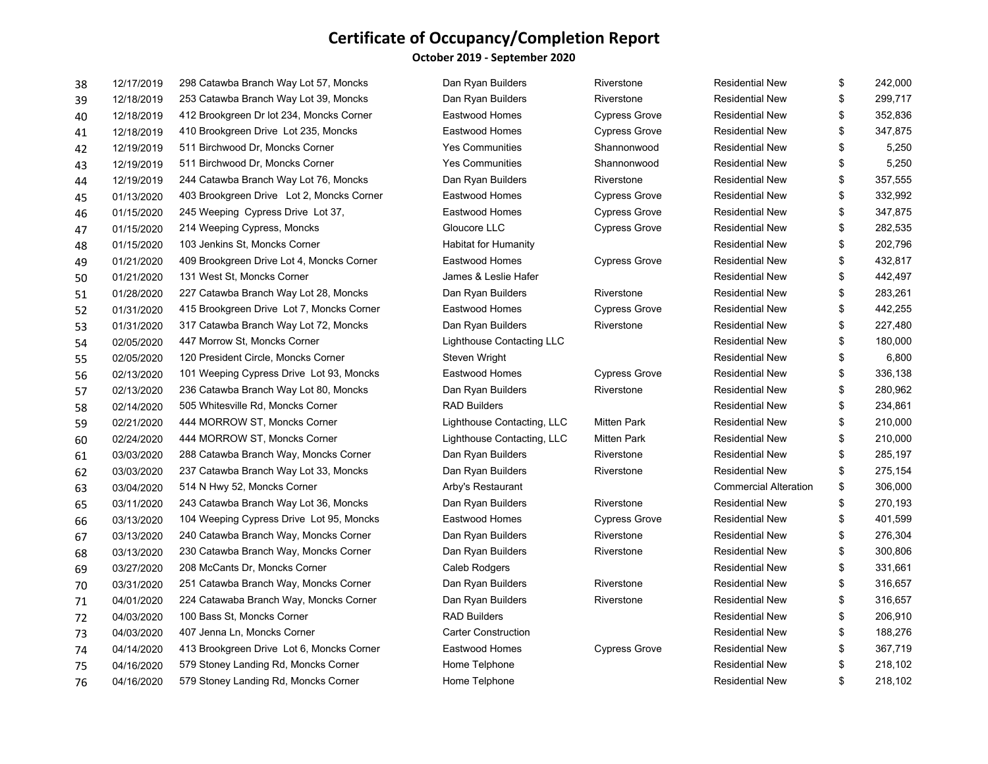#### **October 2019 ‐ September 2020**

| 38 | 12/17/2019 | 298 Catawba Branch Way Lot 57, Moncks     | Dan Ryan Builders           | Riverstone           | <b>Residential New</b>       | \$<br>242,000 |
|----|------------|-------------------------------------------|-----------------------------|----------------------|------------------------------|---------------|
| 39 | 12/18/2019 | 253 Catawba Branch Way Lot 39, Moncks     | Dan Ryan Builders           | Riverstone           | <b>Residential New</b>       | \$<br>299,717 |
| 40 | 12/18/2019 | 412 Brookgreen Dr lot 234, Moncks Corner  | Eastwood Homes              | <b>Cypress Grove</b> | <b>Residential New</b>       | \$<br>352,836 |
| 41 | 12/18/2019 | 410 Brookgreen Drive Lot 235, Moncks      | Eastwood Homes              | <b>Cypress Grove</b> | <b>Residential New</b>       | \$<br>347,875 |
| 42 | 12/19/2019 | 511 Birchwood Dr, Moncks Corner           | <b>Yes Communities</b>      | Shannonwood          | <b>Residential New</b>       | \$<br>5,250   |
| 43 | 12/19/2019 | 511 Birchwood Dr, Moncks Corner           | <b>Yes Communities</b>      | Shannonwood          | <b>Residential New</b>       | \$<br>5,250   |
| 44 | 12/19/2019 | 244 Catawba Branch Way Lot 76, Moncks     | Dan Ryan Builders           | Riverstone           | <b>Residential New</b>       | \$<br>357,555 |
| 45 | 01/13/2020 | 403 Brookgreen Drive Lot 2, Moncks Corner | Eastwood Homes              | <b>Cypress Grove</b> | <b>Residential New</b>       | \$<br>332,992 |
| 46 | 01/15/2020 | 245 Weeping Cypress Drive Lot 37,         | Eastwood Homes              | <b>Cypress Grove</b> | <b>Residential New</b>       | \$<br>347,875 |
| 47 | 01/15/2020 | 214 Weeping Cypress, Moncks               | Gloucore LLC                | <b>Cypress Grove</b> | <b>Residential New</b>       | \$<br>282,535 |
| 48 | 01/15/2020 | 103 Jenkins St, Moncks Corner             | <b>Habitat for Humanity</b> |                      | <b>Residential New</b>       | \$<br>202,796 |
| 49 | 01/21/2020 | 409 Brookgreen Drive Lot 4, Moncks Corner | Eastwood Homes              | <b>Cypress Grove</b> | <b>Residential New</b>       | \$<br>432,817 |
| 50 | 01/21/2020 | 131 West St, Moncks Corner                | James & Leslie Hafer        |                      | <b>Residential New</b>       | \$<br>442,497 |
| 51 | 01/28/2020 | 227 Catawba Branch Way Lot 28, Moncks     | Dan Ryan Builders           | Riverstone           | <b>Residential New</b>       | \$<br>283,261 |
| 52 | 01/31/2020 | 415 Brookgreen Drive Lot 7, Moncks Corner | Eastwood Homes              | <b>Cypress Grove</b> | <b>Residential New</b>       | \$<br>442,255 |
| 53 | 01/31/2020 | 317 Catawba Branch Way Lot 72, Moncks     | Dan Ryan Builders           | Riverstone           | <b>Residential New</b>       | \$<br>227,480 |
| 54 | 02/05/2020 | 447 Morrow St, Moncks Corner              | Lighthouse Contacting LLC   |                      | <b>Residential New</b>       | \$<br>180,000 |
| 55 | 02/05/2020 | 120 President Circle, Moncks Corner       | Steven Wright               |                      | <b>Residential New</b>       | \$<br>6,800   |
| 56 | 02/13/2020 | 101 Weeping Cypress Drive Lot 93, Moncks  | Eastwood Homes              | <b>Cypress Grove</b> | <b>Residential New</b>       | \$<br>336,138 |
| 57 | 02/13/2020 | 236 Catawba Branch Way Lot 80, Moncks     | Dan Ryan Builders           | Riverstone           | <b>Residential New</b>       | \$<br>280,962 |
| 58 | 02/14/2020 | 505 Whitesville Rd, Moncks Corner         | <b>RAD Builders</b>         |                      | <b>Residential New</b>       | \$<br>234,861 |
| 59 | 02/21/2020 | 444 MORROW ST, Moncks Corner              | Lighthouse Contacting, LLC  | <b>Mitten Park</b>   | <b>Residential New</b>       | \$<br>210,000 |
| 60 | 02/24/2020 | 444 MORROW ST, Moncks Corner              | Lighthouse Contacting, LLC  | <b>Mitten Park</b>   | <b>Residential New</b>       | \$<br>210,000 |
| 61 | 03/03/2020 | 288 Catawba Branch Way, Moncks Corner     | Dan Ryan Builders           | Riverstone           | <b>Residential New</b>       | \$<br>285,197 |
| 62 | 03/03/2020 | 237 Catawba Branch Way Lot 33, Moncks     | Dan Ryan Builders           | Riverstone           | <b>Residential New</b>       | \$<br>275,154 |
| 63 | 03/04/2020 | 514 N Hwy 52, Moncks Corner               | Arby's Restaurant           |                      | <b>Commercial Alteration</b> | \$<br>306,000 |
| 65 | 03/11/2020 | 243 Catawba Branch Way Lot 36, Moncks     | Dan Ryan Builders           | Riverstone           | <b>Residential New</b>       | \$<br>270,193 |
| 66 | 03/13/2020 | 104 Weeping Cypress Drive Lot 95, Moncks  | Eastwood Homes              | <b>Cypress Grove</b> | <b>Residential New</b>       | \$<br>401,599 |
| 67 | 03/13/2020 | 240 Catawba Branch Way, Moncks Corner     | Dan Ryan Builders           | Riverstone           | <b>Residential New</b>       | \$<br>276,304 |
| 68 | 03/13/2020 | 230 Catawba Branch Way, Moncks Corner     | Dan Ryan Builders           | Riverstone           | <b>Residential New</b>       | \$<br>300,806 |
| 69 | 03/27/2020 | 208 McCants Dr, Moncks Corner             | Caleb Rodgers               |                      | <b>Residential New</b>       | \$<br>331,661 |
| 70 | 03/31/2020 | 251 Catawba Branch Way, Moncks Corner     | Dan Ryan Builders           | Riverstone           | <b>Residential New</b>       | \$<br>316,657 |
| 71 | 04/01/2020 | 224 Catawaba Branch Way, Moncks Corner    | Dan Ryan Builders           | Riverstone           | <b>Residential New</b>       | \$<br>316,657 |
| 72 | 04/03/2020 | 100 Bass St, Moncks Corner                | <b>RAD Builders</b>         |                      | <b>Residential New</b>       | \$<br>206,910 |
| 73 | 04/03/2020 | 407 Jenna Ln, Moncks Corner               | <b>Carter Construction</b>  |                      | <b>Residential New</b>       | \$<br>188,276 |
| 74 | 04/14/2020 | 413 Brookgreen Drive Lot 6, Moncks Corner | Eastwood Homes              | <b>Cypress Grove</b> | <b>Residential New</b>       | \$<br>367,719 |
| 75 | 04/16/2020 | 579 Stoney Landing Rd, Moncks Corner      | Home Telphone               |                      | <b>Residential New</b>       | \$<br>218,102 |
| 76 | 04/16/2020 | 579 Stoney Landing Rd, Moncks Corner      | Home Telphone               |                      | <b>Residential New</b>       | \$<br>218,102 |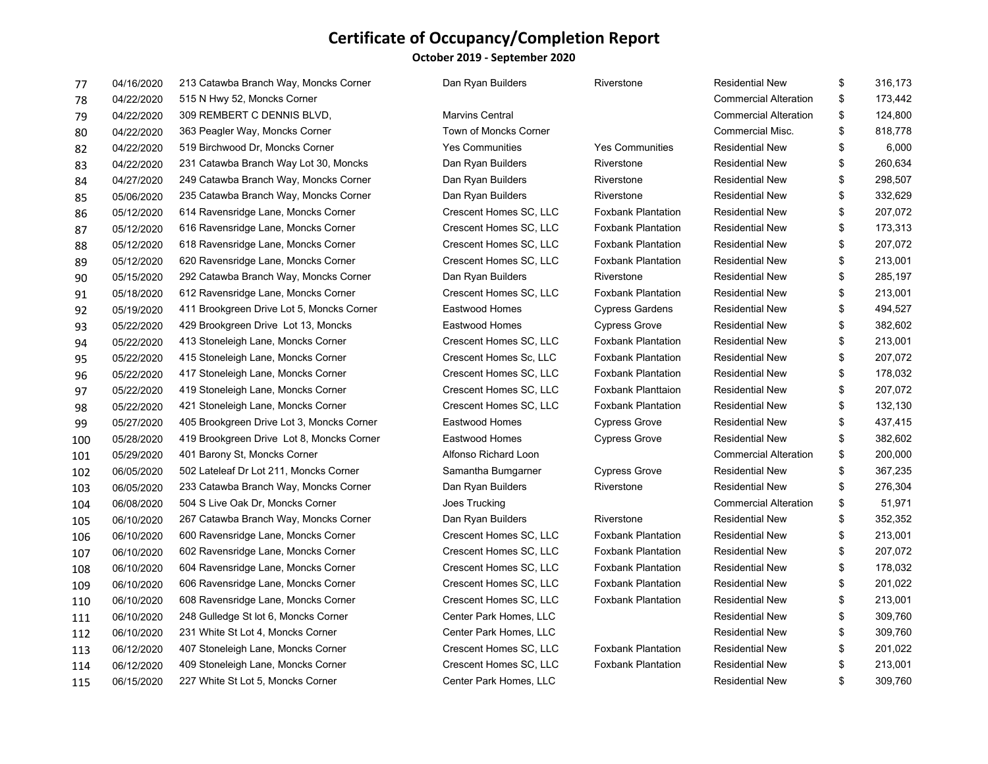#### **October 2019 ‐ September 2020**

| 77  | 04/16/2020 | 213 Catawba Branch Way, Moncks Corner     | Dan Ryan Builders            | Riverstone                | <b>Residential New</b>       | \$<br>316,173 |
|-----|------------|-------------------------------------------|------------------------------|---------------------------|------------------------------|---------------|
| 78  | 04/22/2020 | 515 N Hwy 52, Moncks Corner               |                              |                           | <b>Commercial Alteration</b> | \$<br>173,442 |
| 79  | 04/22/2020 | 309 REMBERT C DENNIS BLVD,                | <b>Marvins Central</b>       |                           | <b>Commercial Alteration</b> | \$<br>124,800 |
| 80  | 04/22/2020 | 363 Peagler Way, Moncks Corner            | <b>Town of Moncks Corner</b> |                           | <b>Commercial Misc.</b>      | \$<br>818,778 |
| 82  | 04/22/2020 | 519 Birchwood Dr, Moncks Corner           | <b>Yes Communities</b>       | <b>Yes Communities</b>    | <b>Residential New</b>       | \$<br>6,000   |
| 83  | 04/22/2020 | 231 Catawba Branch Way Lot 30, Moncks     | Dan Ryan Builders            | Riverstone                | <b>Residential New</b>       | \$<br>260,634 |
| 84  | 04/27/2020 | 249 Catawba Branch Way, Moncks Corner     | Dan Ryan Builders            | Riverstone                | <b>Residential New</b>       | \$<br>298,507 |
| 85  | 05/06/2020 | 235 Catawba Branch Way, Moncks Corner     | Dan Ryan Builders            | Riverstone                | <b>Residential New</b>       | \$<br>332,629 |
| 86  | 05/12/2020 | 614 Ravensridge Lane, Moncks Corner       | Crescent Homes SC, LLC       | <b>Foxbank Plantation</b> | <b>Residential New</b>       | \$<br>207,072 |
| 87  | 05/12/2020 | 616 Ravensridge Lane, Moncks Corner       | Crescent Homes SC, LLC       | <b>Foxbank Plantation</b> | <b>Residential New</b>       | \$<br>173,313 |
| 88  | 05/12/2020 | 618 Ravensridge Lane, Moncks Corner       | Crescent Homes SC, LLC       | Foxbank Plantation        | <b>Residential New</b>       | \$<br>207,072 |
| 89  | 05/12/2020 | 620 Ravensridge Lane, Moncks Corner       | Crescent Homes SC, LLC       | <b>Foxbank Plantation</b> | <b>Residential New</b>       | \$<br>213,001 |
| 90  | 05/15/2020 | 292 Catawba Branch Way, Moncks Corner     | Dan Ryan Builders            | Riverstone                | <b>Residential New</b>       | \$<br>285,197 |
| 91  | 05/18/2020 | 612 Ravensridge Lane, Moncks Corner       | Crescent Homes SC, LLC       | <b>Foxbank Plantation</b> | <b>Residential New</b>       | \$<br>213,001 |
| 92  | 05/19/2020 | 411 Brookgreen Drive Lot 5, Moncks Corner | Eastwood Homes               | <b>Cypress Gardens</b>    | <b>Residential New</b>       | \$<br>494,527 |
| 93  | 05/22/2020 | 429 Brookgreen Drive Lot 13, Moncks       | Eastwood Homes               | <b>Cypress Grove</b>      | <b>Residential New</b>       | \$<br>382,602 |
| 94  | 05/22/2020 | 413 Stoneleigh Lane, Moncks Corner        | Crescent Homes SC, LLC       | <b>Foxbank Plantation</b> | <b>Residential New</b>       | \$<br>213,001 |
| 95  | 05/22/2020 | 415 Stoneleigh Lane, Moncks Corner        | Crescent Homes Sc, LLC       | <b>Foxbank Plantation</b> | <b>Residential New</b>       | \$<br>207,072 |
| 96  | 05/22/2020 | 417 Stoneleigh Lane, Moncks Corner        | Crescent Homes SC, LLC       | <b>Foxbank Plantation</b> | <b>Residential New</b>       | \$<br>178,032 |
| 97  | 05/22/2020 | 419 Stoneleigh Lane, Moncks Corner        | Crescent Homes SC, LLC       | <b>Foxbank Planttaion</b> | <b>Residential New</b>       | \$<br>207,072 |
| 98  | 05/22/2020 | 421 Stoneleigh Lane, Moncks Corner        | Crescent Homes SC, LLC       | <b>Foxbank Plantation</b> | <b>Residential New</b>       | \$<br>132,130 |
| 99  | 05/27/2020 | 405 Brookgreen Drive Lot 3, Moncks Corner | Eastwood Homes               | <b>Cypress Grove</b>      | <b>Residential New</b>       | \$<br>437,415 |
| 100 | 05/28/2020 | 419 Brookgreen Drive Lot 8, Moncks Corner | <b>Eastwood Homes</b>        | <b>Cypress Grove</b>      | <b>Residential New</b>       | \$<br>382,602 |
| 101 | 05/29/2020 | 401 Barony St, Moncks Corner              | Alfonso Richard Loon         |                           | <b>Commercial Alteration</b> | \$<br>200,000 |
| 102 | 06/05/2020 | 502 Lateleaf Dr Lot 211, Moncks Corner    | Samantha Bumgarner           | <b>Cypress Grove</b>      | <b>Residential New</b>       | \$<br>367,235 |
| 103 | 06/05/2020 | 233 Catawba Branch Way, Moncks Corner     | Dan Ryan Builders            | Riverstone                | <b>Residential New</b>       | \$<br>276,304 |
| 104 | 06/08/2020 | 504 S Live Oak Dr, Moncks Corner          | Joes Trucking                |                           | <b>Commercial Alteration</b> | \$<br>51,971  |
| 105 | 06/10/2020 | 267 Catawba Branch Way, Moncks Corner     | Dan Ryan Builders            | Riverstone                | <b>Residential New</b>       | \$<br>352,352 |
| 106 | 06/10/2020 | 600 Ravensridge Lane, Moncks Corner       | Crescent Homes SC, LLC       | <b>Foxbank Plantation</b> | <b>Residential New</b>       | \$<br>213,001 |
| 107 | 06/10/2020 | 602 Ravensridge Lane, Moncks Corner       | Crescent Homes SC, LLC       | <b>Foxbank Plantation</b> | <b>Residential New</b>       | \$<br>207,072 |
| 108 | 06/10/2020 | 604 Ravensridge Lane, Moncks Corner       | Crescent Homes SC, LLC       | <b>Foxbank Plantation</b> | <b>Residential New</b>       | \$<br>178,032 |
| 109 | 06/10/2020 | 606 Ravensridge Lane, Moncks Corner       | Crescent Homes SC, LLC       | <b>Foxbank Plantation</b> | <b>Residential New</b>       | \$<br>201,022 |
| 110 | 06/10/2020 | 608 Ravensridge Lane, Moncks Corner       | Crescent Homes SC, LLC       | <b>Foxbank Plantation</b> | <b>Residential New</b>       | \$<br>213,001 |
| 111 | 06/10/2020 | 248 Gulledge St lot 6, Moncks Corner      | Center Park Homes, LLC       |                           | <b>Residential New</b>       | \$<br>309,760 |
| 112 | 06/10/2020 | 231 White St Lot 4, Moncks Corner         | Center Park Homes, LLC       |                           | <b>Residential New</b>       | \$<br>309,760 |
| 113 | 06/12/2020 | 407 Stoneleigh Lane, Moncks Corner        | Crescent Homes SC, LLC       | <b>Foxbank Plantation</b> | <b>Residential New</b>       | \$<br>201,022 |
| 114 | 06/12/2020 | 409 Stoneleigh Lane, Moncks Corner        | Crescent Homes SC, LLC       | Foxbank Plantation        | <b>Residential New</b>       | \$<br>213,001 |
| 115 | 06/15/2020 | 227 White St Lot 5, Moncks Corner         | Center Park Homes, LLC       |                           | <b>Residential New</b>       | \$<br>309,760 |
|     |            |                                           |                              |                           |                              |               |